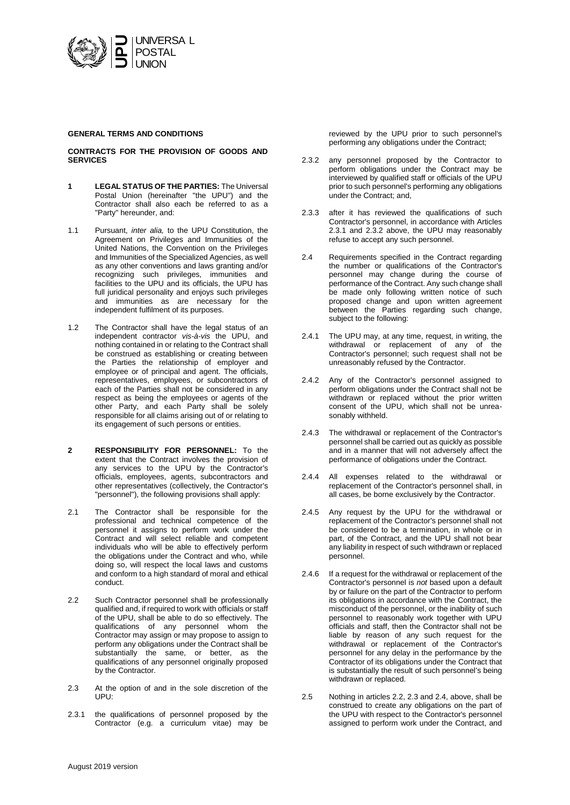

### **GENERAL TERMS AND CONDITIONS**

# **CONTRACTS FOR THE PROVISION OF GOODS AND SERVICES**

- **1 LEGAL STATUS OF THE PARTIES:** The Universal Postal Union (hereinafter "the UPU") and the Contractor shall also each be referred to as a "Party" hereunder, and:
- 1.1 Pursuant, *inter alia,* to the UPU Constitution, the Agreement on Privileges and Immunities of the United Nations, the Convention on the Privileges and Immunities of the Specialized Agencies, as well as any other conventions and laws granting and/or recognizing such privileges, immunities and facilities to the UPU and its officials, the UPU has full juridical personality and enjoys such privileges and immunities as are necessary for the independent fulfilment of its purposes.
- 1.2 The Contractor shall have the legal status of an independent contractor *vis-à-vis* the UPU, and nothing contained in or relating to the Contract shall be construed as establishing or creating between the Parties the relationship of employer and employee or of principal and agent. The officials, representatives, employees, or subcontractors of each of the Parties shall not be considered in any respect as being the employees or agents of the other Party, and each Party shall be solely responsible for all claims arising out of or relating to its engagement of such persons or entities.
- **2 RESPONSIBILITY FOR PERSONNEL:** To the extent that the Contract involves the provision of any services to the UPU by the Contractor's officials, employees, agents, subcontractors and other representatives (collectively, the Contractor's "personnel"), the following provisions shall apply:
- 2.1 The Contractor shall be responsible for the professional and technical competence of the personnel it assigns to perform work under the Contract and will select reliable and competent individuals who will be able to effectively perform the obligations under the Contract and who, while doing so, will respect the local laws and customs and conform to a high standard of moral and ethical conduct.
- 2.2 Such Contractor personnel shall be professionally qualified and, if required to work with officials or staff of the UPU, shall be able to do so effectively. The qualifications of any personnel whom the Contractor may assign or may propose to assign to perform any obligations under the Contract shall be substantially the same, or better, as the qualifications of any personnel originally proposed by the Contractor.
- 2.3 At the option of and in the sole discretion of the UPU:
- 2.3.1 the qualifications of personnel proposed by the Contractor (e.g. a curriculum vitae) may be

reviewed by the UPU prior to such personnel's performing any obligations under the Contract;

- 2.3.2 any personnel proposed by the Contractor to perform obligations under the Contract may be interviewed by qualified staff or officials of the UPU prior to such personnel's performing any obligations under the Contract; and,
- 2.3.3 after it has reviewed the qualifications of such Contractor's personnel, in accordance with Articles 2.3.1 and 2.3.2 above, the UPU may reasonably refuse to accept any such personnel.
- 2.4 Requirements specified in the Contract regarding the number or qualifications of the Contractor's personnel may change during the course of performance of the Contract. Any such change shall be made only following written notice of such proposed change and upon written agreement between the Parties regarding such change, subject to the following:
- 2.4.1 The UPU may, at any time, request, in writing, the withdrawal or replacement of any of the Contractor's personnel; such request shall not be unreasonably refused by the Contractor.
- 2.4.2 Any of the Contractor's personnel assigned to perform obligations under the Contract shall not be withdrawn or replaced without the prior written consent of the UPU, which shall not be unreasonably withheld.
- 2.4.3 The withdrawal or replacement of the Contractor's personnel shall be carried out as quickly as possible and in a manner that will not adversely affect the performance of obligations under the Contract.
- 2.4.4 All expenses related to the withdrawal or replacement of the Contractor's personnel shall, in all cases, be borne exclusively by the Contractor.
- 2.4.5 Any request by the UPU for the withdrawal or replacement of the Contractor's personnel shall not be considered to be a termination, in whole or in part, of the Contract, and the UPU shall not bear any liability in respect of such withdrawn or replaced personnel.
- 2.4.6 If a request for the withdrawal or replacement of the Contractor's personnel is *not* based upon a default by or failure on the part of the Contractor to perform its obligations in accordance with the Contract, the misconduct of the personnel, or the inability of such personnel to reasonably work together with UPU officials and staff, then the Contractor shall not be liable by reason of any such request for the withdrawal or replacement of the Contractor's personnel for any delay in the performance by the Contractor of its obligations under the Contract that is substantially the result of such personnel's being withdrawn or replaced.
- 2.5 Nothing in articles 2.2, 2.3 and 2.4, above, shall be construed to create any obligations on the part of the UPU with respect to the Contractor's personnel assigned to perform work under the Contract, and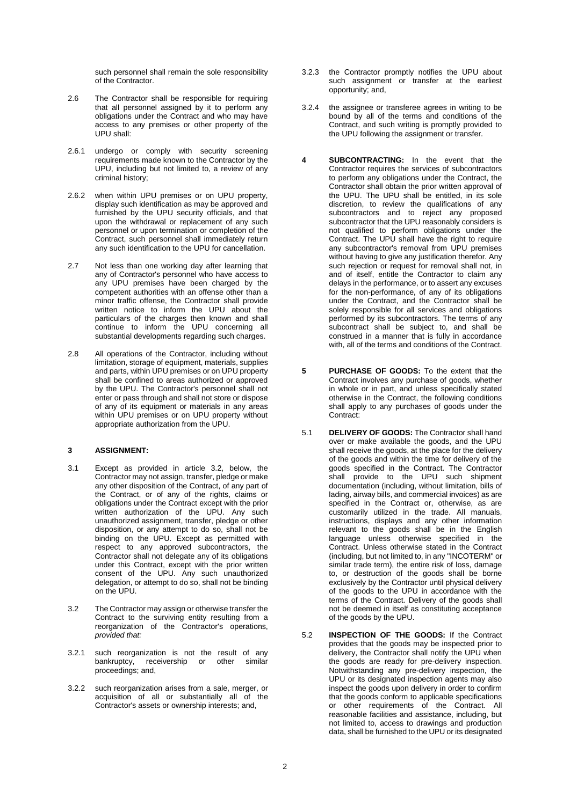such personnel shall remain the sole responsibility of the Contractor.

- 2.6 The Contractor shall be responsible for requiring that all personnel assigned by it to perform any obligations under the Contract and who may have access to any premises or other property of the UPU shall:
- 2.6.1 undergo or comply with security screening requirements made known to the Contractor by the UPU, including but not limited to, a review of any criminal history;
- 2.6.2 when within UPU premises or on UPU property, display such identification as may be approved and furnished by the UPU security officials, and that upon the withdrawal or replacement of any such personnel or upon termination or completion of the Contract, such personnel shall immediately return any such identification to the UPU for cancellation.
- 2.7 Not less than one working day after learning that any of Contractor's personnel who have access to any UPU premises have been charged by the competent authorities with an offense other than a minor traffic offense, the Contractor shall provide written notice to inform the UPU about the particulars of the charges then known and shall continue to inform the UPU concerning all substantial developments regarding such charges.
- 2.8 All operations of the Contractor, including without limitation, storage of equipment, materials, supplies and parts, within UPU premises or on UPU property shall be confined to areas authorized or approved by the UPU. The Contractor's personnel shall not enter or pass through and shall not store or dispose of any of its equipment or materials in any areas within UPU premises or on UPU property without appropriate authorization from the UPU.

### **3 ASSIGNMENT:**

- 3.1 Except as provided in article 3.2, below, the Contractor may not assign, transfer, pledge or make any other disposition of the Contract, of any part of the Contract, or of any of the rights, claims or obligations under the Contract except with the prior written authorization of the UPU. Any such unauthorized assignment, transfer, pledge or other disposition, or any attempt to do so, shall not be binding on the UPU. Except as permitted with respect to any approved subcontractors, the Contractor shall not delegate any of its obligations under this Contract, except with the prior written consent of the UPU. Any such unauthorized delegation, or attempt to do so, shall not be binding on the UPU.
- 3.2 The Contractor may assign or otherwise transfer the Contract to the surviving entity resulting from a reorganization of the Contractor's operations, *provided that:*
- 3.2.1 such reorganization is not the result of any bankruptcy, receivership or other similar proceedings; and,
- 3.2.2 such reorganization arises from a sale, merger, or acquisition of all or substantially all of the Contractor's assets or ownership interests; and,
- 3.2.3 the Contractor promptly notifies the UPU about such assignment or transfer at the earliest opportunity; and,
- 3.2.4 the assignee or transferee agrees in writing to be bound by all of the terms and conditions of the Contract, and such writing is promptly provided to the UPU following the assignment or transfer.
- **4 SUBCONTRACTING:** In the event that the Contractor requires the services of subcontractors to perform any obligations under the Contract, the Contractor shall obtain the prior written approval of the UPU. The UPU shall be entitled, in its sole discretion, to review the qualifications of any subcontractors and to reject any proposed subcontractor that the UPU reasonably considers is not qualified to perform obligations under the Contract. The UPU shall have the right to require any subcontractor's removal from UPU premises without having to give any justification therefor. Any such rejection or request for removal shall not, in and of itself, entitle the Contractor to claim any delays in the performance, or to assert any excuses for the non-performance, of any of its obligations under the Contract, and the Contractor shall be solely responsible for all services and obligations performed by its subcontractors. The terms of any subcontract shall be subject to, and shall be construed in a manner that is fully in accordance with, all of the terms and conditions of the Contract.
- **5 PURCHASE OF GOODS:** To the extent that the Contract involves any purchase of goods, whether in whole or in part, and unless specifically stated otherwise in the Contract, the following conditions shall apply to any purchases of goods under the Contract:
- 5.1 **DELIVERY OF GOODS:** The Contractor shall hand over or make available the goods, and the UPU shall receive the goods, at the place for the delivery of the goods and within the time for delivery of the goods specified in the Contract. The Contractor shall provide to the UPU such shipment documentation (including, without limitation, bills of lading, airway bills, and commercial invoices) as are specified in the Contract or, otherwise, as are customarily utilized in the trade. All manuals, instructions, displays and any other information relevant to the goods shall be in the English language unless otherwise specified in the Contract. Unless otherwise stated in the Contract (including, but not limited to, in any "INCOTERM" or similar trade term), the entire risk of loss, damage to, or destruction of the goods shall be borne exclusively by the Contractor until physical delivery of the goods to the UPU in accordance with the terms of the Contract. Delivery of the goods shall not be deemed in itself as constituting acceptance of the goods by the UPU.
- 5.2 **INSPECTION OF THE GOODS:** If the Contract provides that the goods may be inspected prior to delivery, the Contractor shall notify the UPU when the goods are ready for pre-delivery inspection. Notwithstanding any pre-delivery inspection, the UPU or its designated inspection agents may also inspect the goods upon delivery in order to confirm that the goods conform to applicable specifications or other requirements of the Contract. All reasonable facilities and assistance, including, but not limited to, access to drawings and production data, shall be furnished to the UPU or its designated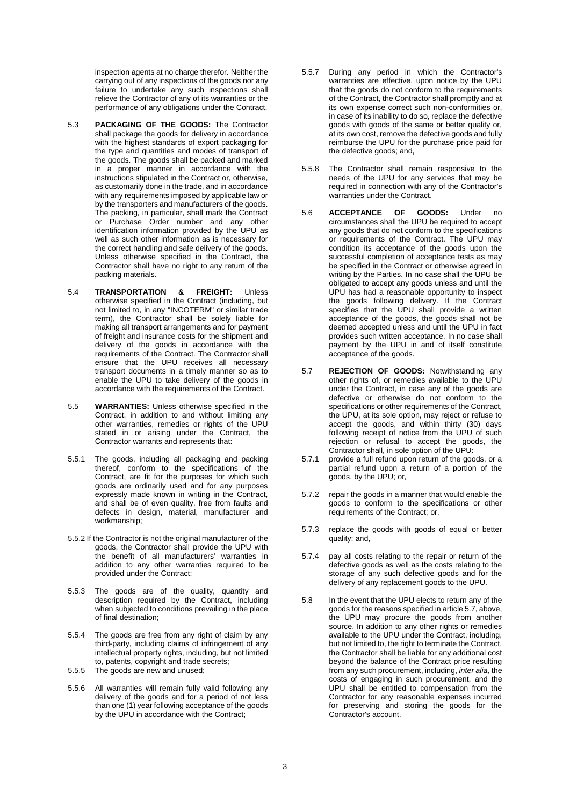inspection agents at no charge therefor. Neither the carrying out of any inspections of the goods nor any failure to undertake any such inspections shall relieve the Contractor of any of its warranties or the performance of any obligations under the Contract.

- 5.3 **PACKAGING OF THE GOODS:** The Contractor shall package the goods for delivery in accordance with the highest standards of export packaging for the type and quantities and modes of transport of the goods. The goods shall be packed and marked in a proper manner in accordance with the instructions stipulated in the Contract or, otherwise, as customarily done in the trade, and in accordance with any requirements imposed by applicable law or by the transporters and manufacturers of the goods. The packing, in particular, shall mark the Contract or Purchase Order number and any other identification information provided by the UPU as well as such other information as is necessary for the correct handling and safe delivery of the goods. Unless otherwise specified in the Contract, the Contractor shall have no right to any return of the packing materials.
- 5.4 **TRANSPORTATION & FREIGHT:** Unless otherwise specified in the Contract (including, but not limited to, in any "INCOTERM" or similar trade term), the Contractor shall be solely liable for making all transport arrangements and for payment of freight and insurance costs for the shipment and delivery of the goods in accordance with the requirements of the Contract. The Contractor shall ensure that the UPU receives all necessary transport documents in a timely manner so as to enable the UPU to take delivery of the goods in accordance with the requirements of the Contract.
- 5.5 **WARRANTIES:** Unless otherwise specified in the Contract, in addition to and without limiting any other warranties, remedies or rights of the UPU stated in or arising under the Contract, the Contractor warrants and represents that:
- 5.5.1 The goods, including all packaging and packing thereof, conform to the specifications of the Contract, are fit for the purposes for which such goods are ordinarily used and for any purposes expressly made known in writing in the Contract, and shall be of even quality, free from faults and defects in design, material, manufacturer and workmanship;
- 5.5.2 If the Contractor is not the original manufacturer of the goods, the Contractor shall provide the UPU with the benefit of all manufacturers' warranties in addition to any other warranties required to be provided under the Contract;
- 5.5.3 The goods are of the quality, quantity and description required by the Contract, including when subjected to conditions prevailing in the place of final destination;
- 5.5.4 The goods are free from any right of claim by any third-party, including claims of infringement of any intellectual property rights, including, but not limited to, patents, copyright and trade secrets;
- 5.5.5 The goods are new and unused;
- 5.5.6 All warranties will remain fully valid following any delivery of the goods and for a period of not less than one (1) year following acceptance of the goods by the UPU in accordance with the Contract;
- 5.5.7 During any period in which the Contractor's warranties are effective, upon notice by the UPU that the goods do not conform to the requirements of the Contract, the Contractor shall promptly and at its own expense correct such non-conformities or, in case of its inability to do so, replace the defective goods with goods of the same or better quality or, at its own cost, remove the defective goods and fully reimburse the UPU for the purchase price paid for the defective goods; and,
- 5.5.8 The Contractor shall remain responsive to the needs of the UPU for any services that may be required in connection with any of the Contractor's warranties under the Contract.
- 5.6 **ACCEPTANCE OF GOODS:** Under no circumstances shall the UPU be required to accept any goods that do not conform to the specifications or requirements of the Contract. The UPU may condition its acceptance of the goods upon the successful completion of acceptance tests as may be specified in the Contract or otherwise agreed in writing by the Parties. In no case shall the UPU be obligated to accept any goods unless and until the UPU has had a reasonable opportunity to inspect the goods following delivery. If the Contract specifies that the UPU shall provide a written acceptance of the goods, the goods shall not be deemed accepted unless and until the UPU in fact provides such written acceptance. In no case shall payment by the UPU in and of itself constitute acceptance of the goods.
- 5.7 **REJECTION OF GOODS:** Notwithstanding any other rights of, or remedies available to the UPU under the Contract, in case any of the goods are defective or otherwise do not conform to the specifications or other requirements of the Contract, the UPU, at its sole option, may reject or refuse to accept the goods, and within thirty (30) days following receipt of notice from the UPU of such rejection or refusal to accept the goods, the Contractor shall, in sole option of the UPU:
- 5.7.1 provide a full refund upon return of the goods, or a partial refund upon a return of a portion of the goods, by the UPU; or,
- 5.7.2 repair the goods in a manner that would enable the goods to conform to the specifications or other requirements of the Contract; or,
- 5.7.3 replace the goods with goods of equal or better quality; and,
- 5.7.4 pay all costs relating to the repair or return of the defective goods as well as the costs relating to the storage of any such defective goods and for the delivery of any replacement goods to the UPU.
- 5.8 In the event that the UPU elects to return any of the goods for the reasons specified in article 5.7, above, the UPU may procure the goods from another source. In addition to any other rights or remedies available to the UPU under the Contract, including, but not limited to, the right to terminate the Contract, the Contractor shall be liable for any additional cost beyond the balance of the Contract price resulting from any such procurement, including, *inter alia*, the costs of engaging in such procurement, and the UPU shall be entitled to compensation from the Contractor for any reasonable expenses incurred for preserving and storing the goods for the Contractor's account.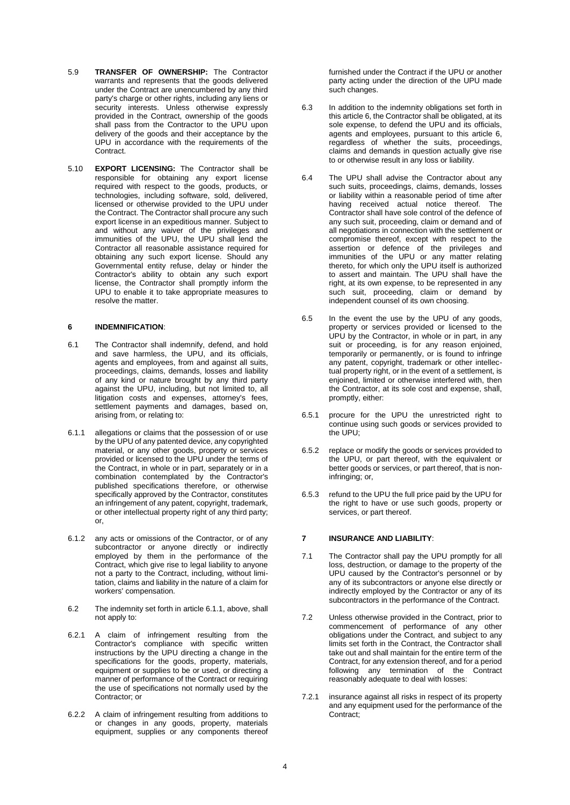- 5.9 **TRANSFER OF OWNERSHIP:** The Contractor warrants and represents that the goods delivered under the Contract are unencumbered by any third party's charge or other rights, including any liens or security interests. Unless otherwise expressly provided in the Contract, ownership of the goods shall pass from the Contractor to the UPU upon delivery of the goods and their acceptance by the UPU in accordance with the requirements of the **Contract.**
- 5.10 **EXPORT LICENSING:** The Contractor shall be responsible for obtaining any export license required with respect to the goods, products, or technologies, including software, sold, delivered, licensed or otherwise provided to the UPU under the Contract. The Contractor shall procure any such export license in an expeditious manner. Subject to and without any waiver of the privileges and immunities of the UPU, the UPU shall lend the Contractor all reasonable assistance required for obtaining any such export license. Should any Governmental entity refuse, delay or hinder the Contractor's ability to obtain any such export license, the Contractor shall promptly inform the UPU to enable it to take appropriate measures to resolve the matter.

### **6 INDEMNIFICATION**:

- 6.1 The Contractor shall indemnify, defend, and hold and save harmless, the UPU, and its officials, agents and employees, from and against all suits, proceedings, claims, demands, losses and liability of any kind or nature brought by any third party against the UPU, including, but not limited to, all litigation costs and expenses, attorney's fees, settlement payments and damages, based on, arising from, or relating to:
- 6.1.1 allegations or claims that the possession of or use by the UPU of any patented device, any copyrighted material, or any other goods, property or services provided or licensed to the UPU under the terms of the Contract, in whole or in part, separately or in a combination contemplated by the Contractor's published specifications therefore, or otherwise specifically approved by the Contractor, constitutes an infringement of any patent, copyright, trademark, or other intellectual property right of any third party;  $\alpha$ r
- 6.1.2 any acts or omissions of the Contractor, or of any subcontractor or anyone directly or indirectly employed by them in the performance of the Contract, which give rise to legal liability to anyone not a party to the Contract, including, without limitation, claims and liability in the nature of a claim for workers' compensation.
- 6.2 The indemnity set forth in article 6.1.1, above, shall not apply to:
- 6.2.1 A claim of infringement resulting from the Contractor's compliance with specific written instructions by the UPU directing a change in the specifications for the goods, property, materials, equipment or supplies to be or used, or directing a manner of performance of the Contract or requiring the use of specifications not normally used by the Contractor; or
- 6.2.2 A claim of infringement resulting from additions to or changes in any goods, property, materials equipment, supplies or any components thereof

furnished under the Contract if the UPU or another party acting under the direction of the UPU made such changes.

- 6.3 In addition to the indemnity obligations set forth in this article 6, the Contractor shall be obligated, at its sole expense, to defend the UPU and its officials, agents and employees, pursuant to this article 6, regardless of whether the suits, proceedings, claims and demands in question actually give rise to or otherwise result in any loss or liability.
- 6.4 The UPU shall advise the Contractor about any such suits, proceedings, claims, demands, losses or liability within a reasonable period of time after having received actual notice thereof. The Contractor shall have sole control of the defence of any such suit, proceeding, claim or demand and of all negotiations in connection with the settlement or compromise thereof, except with respect to the assertion or defence of the privileges and immunities of the UPU or any matter relating thereto, for which only the UPU itself is authorized to assert and maintain. The UPU shall have the right, at its own expense, to be represented in any such suit, proceeding, claim or demand by independent counsel of its own choosing.
- 6.5 In the event the use by the UPU of any goods, property or services provided or licensed to the UPU by the Contractor, in whole or in part, in any suit or proceeding, is for any reason enjoined, temporarily or permanently, or is found to infringe any patent, copyright, trademark or other intellectual property right, or in the event of a settlement, is enjoined, limited or otherwise interfered with, then the Contractor, at its sole cost and expense, shall, promptly, either:
- 6.5.1 procure for the UPU the unrestricted right to continue using such goods or services provided to the UPU;
- 6.5.2 replace or modify the goods or services provided to the UPU, or part thereof, with the equivalent or better goods or services, or part thereof, that is noninfringing; or,
- 6.5.3 refund to the UPU the full price paid by the UPU for the right to have or use such goods, property or services, or part thereof.

### **7 INSURANCE AND LIABILITY**:

- 7.1 The Contractor shall pay the UPU promptly for all loss, destruction, or damage to the property of the UPU caused by the Contractor's personnel or by any of its subcontractors or anyone else directly or indirectly employed by the Contractor or any of its subcontractors in the performance of the Contract.
- 7.2 Unless otherwise provided in the Contract, prior to commencement of performance of any other obligations under the Contract, and subject to any limits set forth in the Contract, the Contractor shall take out and shall maintain for the entire term of the Contract, for any extension thereof, and for a period following any termination of the Contract reasonably adequate to deal with losses:
- 7.2.1 insurance against all risks in respect of its property and any equipment used for the performance of the Contract;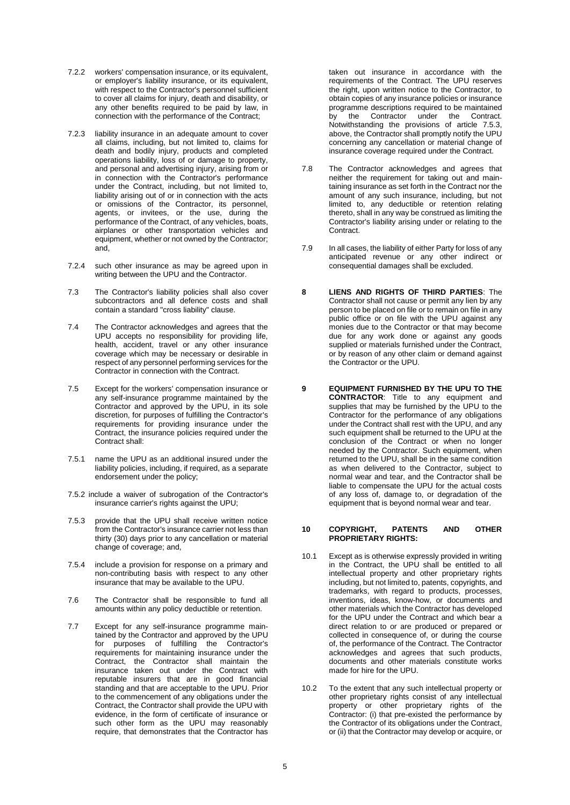- 7.2.2 workers' compensation insurance, or its equivalent, or employer's liability insurance, or its equivalent, with respect to the Contractor's personnel sufficient to cover all claims for injury, death and disability, or any other benefits required to be paid by law, in connection with the performance of the Contract;
- 7.2.3 liability insurance in an adequate amount to cover all claims, including, but not limited to, claims for death and bodily injury, products and completed operations liability, loss of or damage to property, and personal and advertising injury, arising from or in connection with the Contractor's performance under the Contract, including, but not limited to, liability arising out of or in connection with the acts or omissions of the Contractor, its personnel, agents, or invitees, or the use, during the performance of the Contract, of any vehicles, boats, airplanes or other transportation vehicles and equipment, whether or not owned by the Contractor; and,
- 7.2.4 such other insurance as may be agreed upon in writing between the UPU and the Contractor.
- 7.3 The Contractor's liability policies shall also cover subcontractors and all defence costs and shall contain a standard "cross liability" clause.
- 7.4 The Contractor acknowledges and agrees that the UPU accepts no responsibility for providing life, health, accident, travel or any other insurance coverage which may be necessary or desirable in respect of any personnel performing services for the Contractor in connection with the Contract.
- 7.5 Except for the workers' compensation insurance or any self-insurance programme maintained by the Contractor and approved by the UPU, in its sole discretion, for purposes of fulfilling the Contractor's requirements for providing insurance under the Contract, the insurance policies required under the Contract shall:
- 7.5.1 name the UPU as an additional insured under the liability policies, including, if required, as a separate endorsement under the policy;
- 7.5.2 include a waiver of subrogation of the Contractor's insurance carrier's rights against the UPU;
- 7.5.3 provide that the UPU shall receive written notice from the Contractor's insurance carrier not less than thirty (30) days prior to any cancellation or material change of coverage; and,
- 7.5.4 include a provision for response on a primary and non-contributing basis with respect to any other insurance that may be available to the UPU.
- 7.6 The Contractor shall be responsible to fund all amounts within any policy deductible or retention.
- 7.7 Except for any self-insurance programme maintained by the Contractor and approved by the UPU for purposes of fulfilling the Contractor's requirements for maintaining insurance under the Contract, the Contractor shall maintain the insurance taken out under the Contract with reputable insurers that are in good financial standing and that are acceptable to the UPU. Prior to the commencement of any obligations under the Contract, the Contractor shall provide the UPU with evidence, in the form of certificate of insurance or such other form as the UPU may reasonably require, that demonstrates that the Contractor has

taken out insurance in accordance with the requirements of the Contract. The UPU reserves the right, upon written notice to the Contractor, to obtain copies of any insurance policies or insurance programme descriptions required to be maintained by the Contractor under the Contract. Notwithstanding the provisions of article 7.5.3, above, the Contractor shall promptly notify the UPU concerning any cancellation or material change of insurance coverage required under the Contract.

- 7.8 The Contractor acknowledges and agrees that neither the requirement for taking out and maintaining insurance as set forth in the Contract nor the amount of any such insurance, including, but not limited to, any deductible or retention relating thereto, shall in any way be construed as limiting the Contractor's liability arising under or relating to the Contract.
- 7.9 In all cases, the liability of either Party for loss of any anticipated revenue or any other indirect or consequential damages shall be excluded.
- **8 LIENS AND RIGHTS OF THIRD PARTIES**: The Contractor shall not cause or permit any lien by any person to be placed on file or to remain on file in any public office or on file with the UPU against any monies due to the Contractor or that may become due for any work done or against any goods supplied or materials furnished under the Contract, or by reason of any other claim or demand against the Contractor or the UPU.
- **9 EQUIPMENT FURNISHED BY THE UPU TO THE CONTRACTOR**: Title to any equipment and supplies that may be furnished by the UPU to the Contractor for the performance of any obligations under the Contract shall rest with the UPU, and any such equipment shall be returned to the UPU at the conclusion of the Contract or when no longer needed by the Contractor. Such equipment, when returned to the UPU, shall be in the same condition as when delivered to the Contractor, subject to normal wear and tear, and the Contractor shall be liable to compensate the UPU for the actual costs of any loss of, damage to, or degradation of the equipment that is beyond normal wear and tear.

### **10 COPYRIGHT, PATENTS AND OTHER PROPRIETARY RIGHTS:**

- 10.1 Except as is otherwise expressly provided in writing in the Contract, the UPU shall be entitled to all intellectual property and other proprietary rights including, but not limited to, patents, copyrights, and trademarks, with regard to products, processes, inventions, ideas, know-how, or documents and other materials which the Contractor has developed for the UPU under the Contract and which bear a direct relation to or are produced or prepared or collected in consequence of, or during the course of, the performance of the Contract. The Contractor acknowledges and agrees that such products, documents and other materials constitute works made for hire for the UPU.
- 10.2 To the extent that any such intellectual property or other proprietary rights consist of any intellectual property or other proprietary rights of the Contractor: (i) that pre-existed the performance by the Contractor of its obligations under the Contract, or (ii) that the Contractor may develop or acquire, or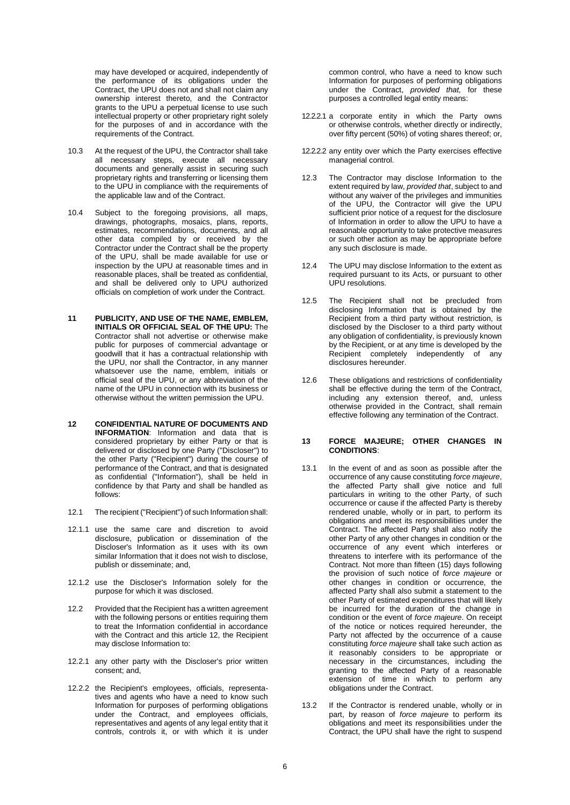may have developed or acquired, independently of the performance of its obligations under the Contract, the UPU does not and shall not claim any ownership interest thereto, and the Contractor grants to the UPU a perpetual license to use such intellectual property or other proprietary right solely for the purposes of and in accordance with the requirements of the Contract.

- 10.3 At the request of the UPU, the Contractor shall take all necessary steps, execute all necessary documents and generally assist in securing such proprietary rights and transferring or licensing them to the UPU in compliance with the requirements of the applicable law and of the Contract.
- 10.4 Subject to the foregoing provisions, all maps, drawings, photographs, mosaics, plans, reports, estimates, recommendations, documents, and all other data compiled by or received by the Contractor under the Contract shall be the property of the UPU, shall be made available for use or inspection by the UPU at reasonable times and in reasonable places, shall be treated as confidential, and shall be delivered only to UPU authorized officials on completion of work under the Contract.
- **11 PUBLICITY, AND USE OF THE NAME, EMBLEM, INITIALS OR OFFICIAL SEAL OF THE UPU:** The Contractor shall not advertise or otherwise make public for purposes of commercial advantage or goodwill that it has a contractual relationship with the UPU, nor shall the Contractor, in any manner whatsoever use the name, emblem, initials or official seal of the UPU, or any abbreviation of the name of the UPU in connection with its business or otherwise without the written permission the UPU.
- **12 CONFIDENTIAL NATURE OF DOCUMENTS AND INFORMATION**: Information and data that is considered proprietary by either Party or that is delivered or disclosed by one Party ("Discloser") to the other Party ("Recipient") during the course of performance of the Contract, and that is designated as confidential ("Information"), shall be held in confidence by that Party and shall be handled as follows:
- 12.1 The recipient ("Recipient") of such Information shall:
- 12.1.1 use the same care and discretion to avoid disclosure, publication or dissemination of the Discloser's Information as it uses with its own similar Information that it does not wish to disclose, publish or disseminate; and,
- 12.1.2 use the Discloser's Information solely for the purpose for which it was disclosed.
- 12.2 Provided that the Recipient has a written agreement with the following persons or entities requiring them to treat the Information confidential in accordance with the Contract and this article 12, the Recipient may disclose Information to:
- 12.2.1 any other party with the Discloser's prior written consent; and,
- 12.2.2 the Recipient's employees, officials, representatives and agents who have a need to know such Information for purposes of performing obligations under the Contract, and employees officials, representatives and agents of any legal entity that it controls, controls it, or with which it is under

common control, who have a need to know such Information for purposes of performing obligations under the Contract, *provided that,* for these purposes a controlled legal entity means:

- 12.2.2.1 a corporate entity in which the Party owns or otherwise controls, whether directly or indirectly, over fifty percent (50%) of voting shares thereof; or,
- 12.2.2.2 any entity over which the Party exercises effective managerial control.
- 12.3 The Contractor may disclose Information to the extent required by law, *provided that*, subject to and without any waiver of the privileges and immunities of the UPU, the Contractor will give the UPU sufficient prior notice of a request for the disclosure of Information in order to allow the UPU to have a reasonable opportunity to take protective measures or such other action as may be appropriate before any such disclosure is made.
- 12.4 The UPU may disclose Information to the extent as required pursuant to its Acts, or pursuant to other UPU resolutions.
- 12.5 The Recipient shall not be precluded from disclosing Information that is obtained by the Recipient from a third party without restriction, is disclosed by the Discloser to a third party without any obligation of confidentiality, is previously known by the Recipient, or at any time is developed by the Recipient completely independently of any disclosures hereunder.
- 12.6 These obligations and restrictions of confidentiality shall be effective during the term of the Contract, including any extension thereof, and, unless otherwise provided in the Contract, shall remain effective following any termination of the Contract.

#### **13 FORCE MAJEURE; OTHER CHANGES IN CONDITIONS**:

- 13.1 In the event of and as soon as possible after the occurrence of any cause constituting *force majeure*, the affected Party shall give notice and full particulars in writing to the other Party, of such occurrence or cause if the affected Party is thereby rendered unable, wholly or in part, to perform its obligations and meet its responsibilities under the Contract. The affected Party shall also notify the other Party of any other changes in condition or the occurrence of any event which interferes or threatens to interfere with its performance of the Contract. Not more than fifteen (15) days following the provision of such notice of *force majeure* or other changes in condition or occurrence, the affected Party shall also submit a statement to the other Party of estimated expenditures that will likely be incurred for the duration of the change in condition or the event of *force majeure*. On receipt of the notice or notices required hereunder, the Party not affected by the occurrence of a cause constituting *force majeure* shall take such action as it reasonably considers to be appropriate or necessary in the circumstances, including the granting to the affected Party of a reasonable extension of time in which to perform any obligations under the Contract.
- 13.2 If the Contractor is rendered unable, wholly or in part, by reason of *force majeure* to perform its obligations and meet its responsibilities under the Contract, the UPU shall have the right to suspend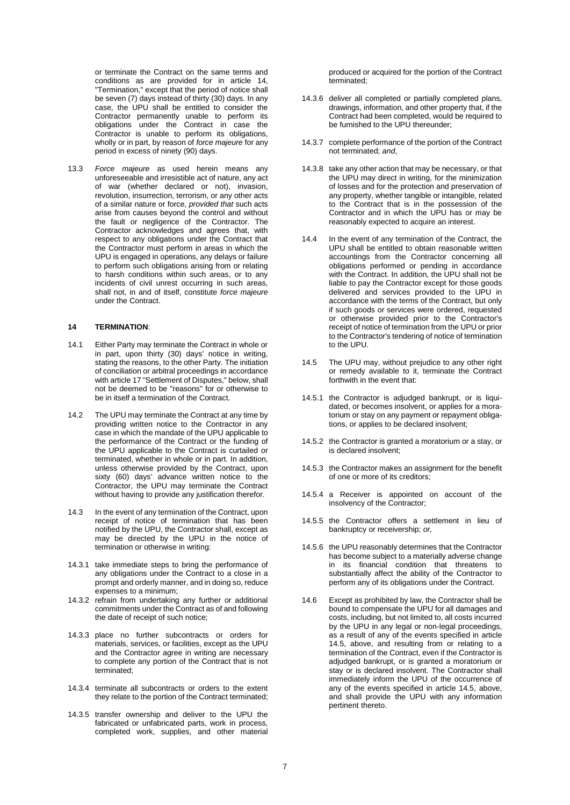or terminate the Contract on the same terms and conditions as are provided for in article 14, "Termination," except that the period of notice shall be seven (7) days instead of thirty (30) days. In any case, the UPU shall be entitled to consider the Contractor permanently unable to perform its obligations under the Contract in case the Contractor is unable to perform its obligations, wholly or in part, by reason of *force majeure* for any period in excess of ninety (90) days.

13.3 *Force majeure* as used herein means any unforeseeable and irresistible act of nature, any act of war (whether declared or not), invasion, revolution, insurrection, terrorism, or any other acts of a similar nature or force, *provided that* such acts arise from causes beyond the control and without the fault or negligence of the Contractor. The Contractor acknowledges and agrees that, with respect to any obligations under the Contract that the Contractor must perform in areas in which the UPU is engaged in operations, any delays or failure to perform such obligations arising from or relating to harsh conditions within such areas, or to any incidents of civil unrest occurring in such areas, shall not, in and of itself, constitute *force majeure*  under the Contract.

### **14 TERMINATION**:

- 14.1 Either Party may terminate the Contract in whole or in part, upon thirty (30) days' notice in writing, stating the reasons, to the other Party. The initiation of conciliation or arbitral proceedings in accordance with article 17 "Settlement of Disputes," below, shall not be deemed to be "reasons" for or otherwise to be in itself a termination of the Contract.
- 14.2 The UPU may terminate the Contract at any time by providing written notice to the Contractor in any case in which the mandate of the UPU applicable to the performance of the Contract or the funding of the UPU applicable to the Contract is curtailed or terminated, whether in whole or in part. In addition, unless otherwise provided by the Contract, upon sixty (60) days' advance written notice to the Contractor, the UPU may terminate the Contract without having to provide any justification therefor.
- 14.3 In the event of any termination of the Contract, upon receipt of notice of termination that has been notified by the UPU, the Contractor shall, except as may be directed by the UPU in the notice of termination or otherwise in writing:
- 14.3.1 take immediate steps to bring the performance of any obligations under the Contract to a close in a prompt and orderly manner, and in doing so, reduce expenses to a minimum;
- 14.3.2 refrain from undertaking any further or additional commitments under the Contract as of and following the date of receipt of such notice;
- 14.3.3 place no further subcontracts or orders for materials, services, or facilities, except as the UPU and the Contractor agree in writing are necessary to complete any portion of the Contract that is not terminated;
- 14.3.4 terminate all subcontracts or orders to the extent they relate to the portion of the Contract terminated;
- 14.3.5 transfer ownership and deliver to the UPU the fabricated or unfabricated parts, work in process, completed work, supplies, and other material

produced or acquired for the portion of the Contract terminated;

- 14.3.6 deliver all completed or partially completed plans, drawings, information, and other property that, if the Contract had been completed, would be required to be furnished to the UPU thereunder;
- 14.3.7 complete performance of the portion of the Contract not terminated; *and*,
- 14.3.8 take any other action that may be necessary, or that the UPU may direct in writing, for the minimization of losses and for the protection and preservation of any property, whether tangible or intangible, related to the Contract that is in the possession of the Contractor and in which the UPU has or may be reasonably expected to acquire an interest.
- 14.4 In the event of any termination of the Contract, the UPU shall be entitled to obtain reasonable written accountings from the Contractor concerning all obligations performed or pending in accordance with the Contract. In addition, the UPU shall not be liable to pay the Contractor except for those goods delivered and services provided to the UPU in accordance with the terms of the Contract, but only if such goods or services were ordered, requested or otherwise provided prior to the Contractor's receipt of notice of termination from the UPU or prior to the Contractor's tendering of notice of termination to the UPU.
- 14.5 The UPU may, without prejudice to any other right or remedy available to it, terminate the Contract forthwith in the event that:
- 14.5.1 the Contractor is adjudged bankrupt, or is liquidated, or becomes insolvent, or applies for a moratorium or stay on any payment or repayment obligations, or applies to be declared insolvent;
- 14.5.2 the Contractor is granted a moratorium or a stay, or is declared insolvent;
- 14.5.3 the Contractor makes an assignment for the benefit of one or more of its creditors;
- 14.5.4 a Receiver is appointed on account of the insolvency of the Contractor;
- 14.5.5 the Contractor offers a settlement in lieu of bankruptcy or receivership; *or,*
- 14.5.6 the UPU reasonably determines that the Contractor has become subject to a materially adverse change in its financial condition that threatens to substantially affect the ability of the Contractor to perform any of its obligations under the Contract.
- 14.6 Except as prohibited by law, the Contractor shall be bound to compensate the UPU for all damages and costs, including, but not limited to, all costs incurred by the UPU in any legal or non-legal proceedings, as a result of any of the events specified in article 14.5, above, and resulting from or relating to a termination of the Contract, even if the Contractor is adjudged bankrupt, or is granted a moratorium or stay or is declared insolvent. The Contractor shall immediately inform the UPU of the occurrence of any of the events specified in article 14.5, above, and shall provide the UPU with any information pertinent thereto.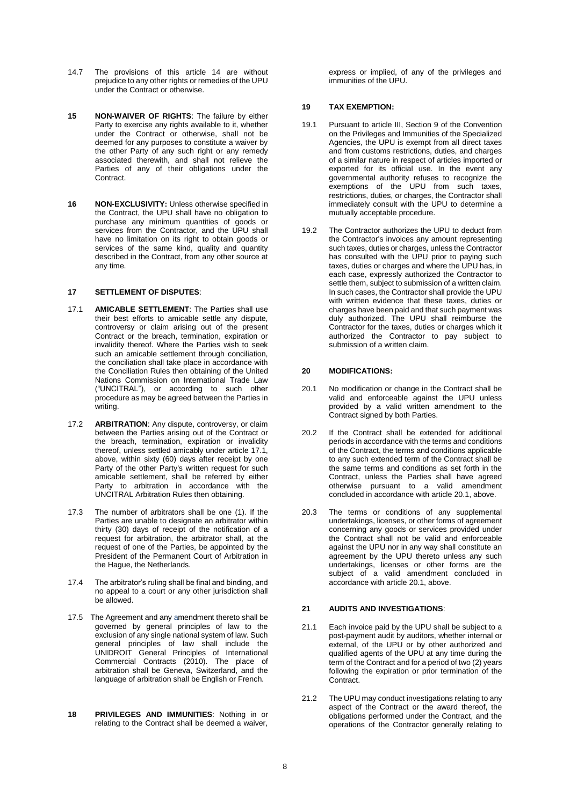- 14.7 The provisions of this article 14 are without prejudice to any other rights or remedies of the UPU under the Contract or otherwise.
- **15 NON-WAIVER OF RIGHTS**: The failure by either Party to exercise any rights available to it, whether under the Contract or otherwise, shall not be deemed for any purposes to constitute a waiver by the other Party of any such right or any remedy associated therewith, and shall not relieve the Parties of any of their obligations under the Contract.
- **16 NON-EXCLUSIVITY:** Unless otherwise specified in the Contract, the UPU shall have no obligation to purchase any minimum quantities of goods or services from the Contractor, and the UPU shall have no limitation on its right to obtain goods or services of the same kind, quality and quantity described in the Contract, from any other source at any time.

# **17 SETTLEMENT OF DISPUTES**:

- 17.1 **AMICABLE SETTLEMENT**: The Parties shall use their best efforts to amicable settle any dispute, controversy or claim arising out of the present Contract or the breach, termination, expiration or invalidity thereof. Where the Parties wish to seek such an amicable settlement through conciliation, the conciliation shall take place in accordance with the Conciliation Rules then obtaining of the United Nations Commission on International Trade Law ("UNCITRAL"), or according to such other procedure as may be agreed between the Parties in writing.
- 17.2 **ARBITRATION**: Any dispute, controversy, or claim between the Parties arising out of the Contract or the breach, termination, expiration or invalidity thereof, unless settled amicably under article 17.1, above, within sixty (60) days after receipt by one Party of the other Party's written request for such amicable settlement, shall be referred by either Party to arbitration in accordance with the UNCITRAL Arbitration Rules then obtaining.
- 17.3 The number of arbitrators shall be one (1). If the Parties are unable to designate an arbitrator within thirty (30) days of receipt of the notification of a request for arbitration, the arbitrator shall, at the request of one of the Parties, be appointed by the President of the Permanent Court of Arbitration in the Hague, the Netherlands.
- 17.4 The arbitrator's ruling shall be final and binding, and no appeal to a court or any other jurisdiction shall be allowed.
- 17.5 The Agreement and any amendment thereto shall be governed by general principles of law to the exclusion of any single national system of law. Such general principles of law shall include the UNIDROIT General Principles of International Commercial Contracts (2010). The place of arbitration shall be Geneva, Switzerland, and the language of arbitration shall be English or French.
- **18 PRIVILEGES AND IMMUNITIES**: Nothing in or relating to the Contract shall be deemed a waiver,

express or implied, of any of the privileges and immunities of the UPU.

## **19 TAX EXEMPTION:**

- 19.1 Pursuant to article III, Section 9 of the Convention on the Privileges and Immunities of the Specialized Agencies, the UPU is exempt from all direct taxes and from customs restrictions, duties, and charges of a similar nature in respect of articles imported or exported for its official use. In the event any governmental authority refuses to recognize the exemptions of the UPU from such taxes, restrictions, duties, or charges, the Contractor shall immediately consult with the UPU to determine a mutually acceptable procedure.
- 19.2 The Contractor authorizes the UPU to deduct from the Contractor's invoices any amount representing such taxes, duties or charges, unless the Contractor has consulted with the UPU prior to paying such taxes, duties or charges and where the UPU has, in each case, expressly authorized the Contractor to settle them, subject to submission of a written claim. In such cases, the Contractor shall provide the UPU with written evidence that these taxes, duties or charges have been paid and that such payment was duly authorized. The UPU shall reimburse the Contractor for the taxes, duties or charges which it authorized the Contractor to pay subject to submission of a written claim.

## **20 MODIFICATIONS:**

- 20.1 No modification or change in the Contract shall be valid and enforceable against the UPU unless provided by a valid written amendment to the Contract signed by both Parties.
- 20.2 If the Contract shall be extended for additional periods in accordance with the terms and conditions of the Contract, the terms and conditions applicable to any such extended term of the Contract shall be the same terms and conditions as set forth in the Contract, unless the Parties shall have agreed otherwise pursuant to a valid amendment concluded in accordance with article 20.1, above.
- 20.3 The terms or conditions of any supplemental undertakings, licenses, or other forms of agreement concerning any goods or services provided under the Contract shall not be valid and enforceable against the UPU nor in any way shall constitute an agreement by the UPU thereto unless any such undertakings, licenses or other forms are the subject of a valid amendment concluded in accordance with article 20.1, above.

### **21 AUDITS AND INVESTIGATIONS**:

- 21.1 Each invoice paid by the UPU shall be subject to a post-payment audit by auditors, whether internal or external, of the UPU or by other authorized and qualified agents of the UPU at any time during the term of the Contract and for a period of two (2) years following the expiration or prior termination of the Contract.
- 21.2 The UPU may conduct investigations relating to any aspect of the Contract or the award thereof, the obligations performed under the Contract, and the operations of the Contractor generally relating to